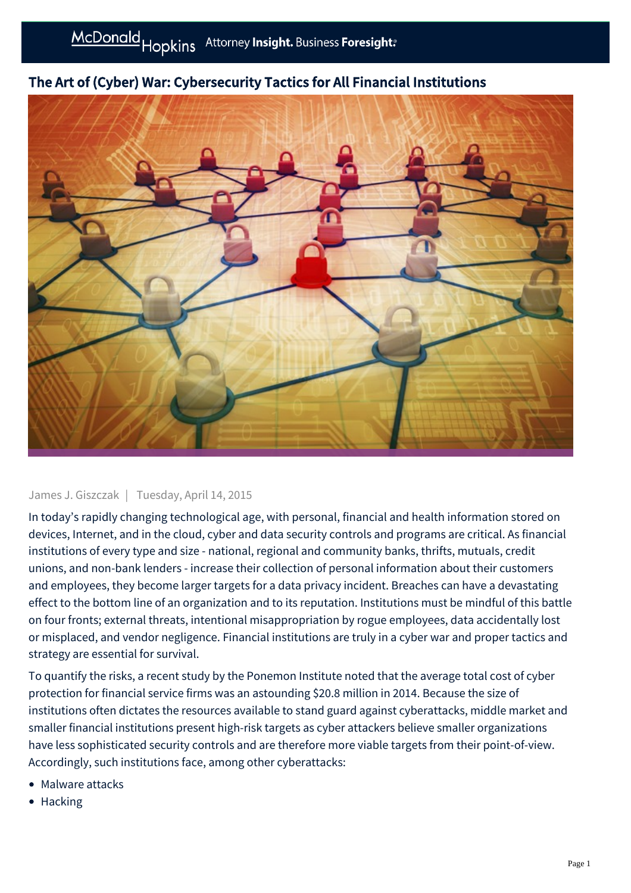

# The Art of (Cyber) War: Cybersecurity Tactics for All Financial Institutions

## James J. Giszczak | Tuesday, April 14, 2015

In today's rapidly changing technological age, with personal, financial and health information stored on devices, Internet, and in the cloud, cyber and data security controls and programs are critical. As financial institutions of every type and size - national, regional and community banks, thrifts, mutuals, credit unions, and non-bank lenders - increase their collection of personal information about their customers and employees, they become larger targets for a data privacy incident. Breaches can have a devastating effect to the bottom line of an organization and to its reputation. Institutions must be mindful of this battle on four fronts; external threats, intentional misappropriation by rogue employees, data accidentally lost or misplaced, and vendor negligence. Financial institutions are truly in a cyber war and proper tactics and strategy are essential for survival.

To quantify the risks, a recent study by the Ponemon Institute noted that the average total cost of cyber protection for financial service firms was an astounding \$20.8 million in 2014. Because the size of institutions often dictates the resources available to stand guard against cyberattacks, middle market and smaller financial institutions present high-risk targets as cyber attackers believe smaller organizations have less sophisticated security controls and are therefore more viable targets from their point-of-view. Accordingly, such institutions face, among other cyberattacks:

- Malware attacks
- Hacking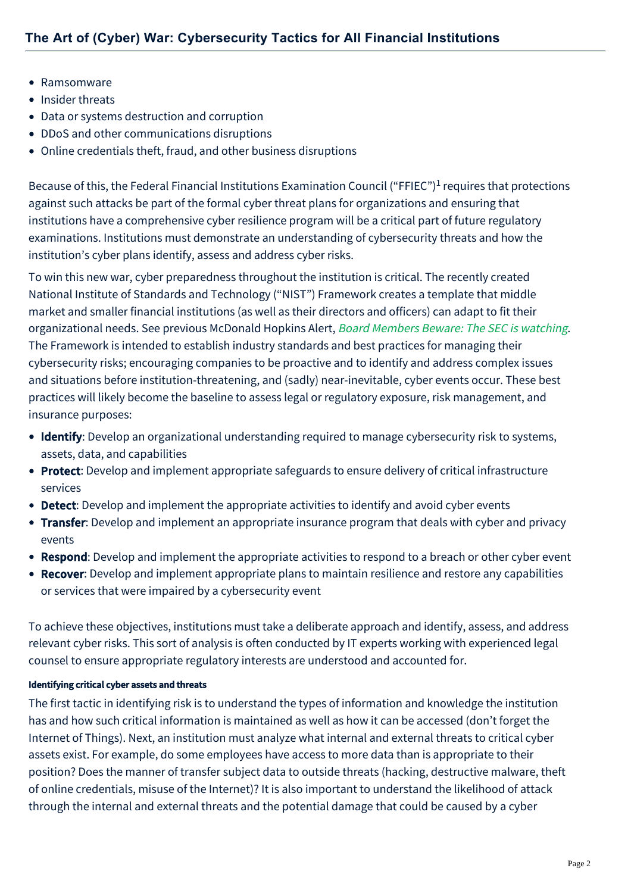- Ramsomware
- Insider threats
- Data or systems destruction and corruption
- DDoS and other communications disruptions
- Online credentials theft, fraud, and other business disruptions

Because of this, the Federal Financial Institutions Examination Council ("FFIEC")<sup>1</sup> requires that protections against such attacks be part of the formal cyber threat plans for organizations and ensuring that institutions have a comprehensive cyber resilience program will be a critical part of future regulatory examinations. Institutions must demonstrate an understanding of cybersecurity threats and how the institution's cyber plans identify, assess and address cyber risks.

To win this new war, cyber preparedness throughout the institution is critical. The recently created National Institute of Standards and Technology ("NIST") Framework creates a template that middle market and smaller financial institutions (as well as their directors and officers) can adapt to fit their organizational needs. See previous McDonald Hopkins Alert, [Board Members Beware: The SEC is watching](http://www.mcdonaldhopkins.com/alerts/data-privacy-and-cybersecurity-board-members-beware-the-sec-is-watching). The Framework is intended to establish industry standards and best practices for managing their cybersecurity risks; encouraging companies to be proactive and to identify and address complex issues and situations before institution-threatening, and (sadly) near-inevitable, cyber events occur. These best practices will likely become the baseline to assess legal or regulatory exposure, risk management, and insurance purposes:

- Identify: Develop an organizational understanding required to manage cybersecurity risk to systems, assets, data, and capabilities
- Protect: Develop and implement appropriate safeguards to ensure delivery of critical infrastructure services
- Detect: Develop and implement the appropriate activities to identify and avoid cyber events
- Transfer: Develop and implement an appropriate insurance program that deals with cyber and privacy events
- Respond: Develop and implement the appropriate activities to respond to a breach or other cyber event
- Recover: Develop and implement appropriate plans to maintain resilience and restore any capabilities or services that were impaired by a cybersecurity event

To achieve these objectives, institutions must take a deliberate approach and identify, assess, and address relevant cyber risks. This sort of analysis is often conducted by IT experts working with experienced legal counsel to ensure appropriate regulatory interests are understood and accounted for.

## Identifying critical cyber assets and threats

The first tactic in identifying risk is to understand the types of information and knowledge the institution has and how such critical information is maintained as well as how it can be accessed (don't forget the Internet of Things). Next, an institution must analyze what internal and external threats to critical cyber assets exist. For example, do some employees have access to more data than is appropriate to their position? Does the manner of transfer subject data to outside threats (hacking, destructive malware, theft of online credentials, misuse of the Internet)? It is also important to understand the likelihood of attack through the internal and external threats and the potential damage that could be caused by a cyber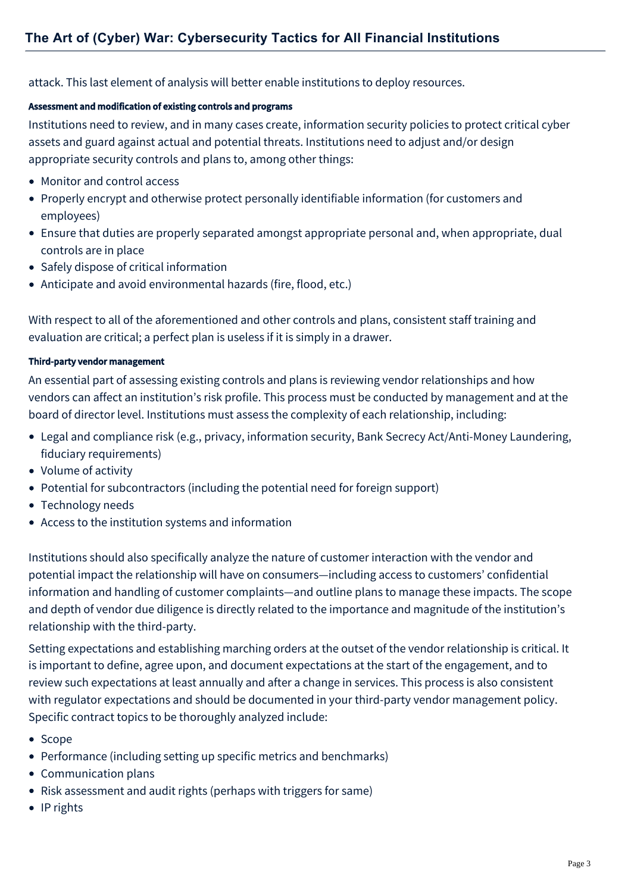attack. This last element of analysis will better enable institutions to deploy resources.

#### Assessment and modification of existing controls and programs

Institutions need to review, and in many cases create, information security policies to protect critical cyber assets and guard against actual and potential threats. Institutions need to adjust and/or design appropriate security controls and plans to, among other things:

- Monitor and control access
- Properly encrypt and otherwise protect personally identifiable information (for customers and employees)
- Ensure that duties are properly separated amongst appropriate personal and, when appropriate, dual controls are in place
- Safely dispose of critical information
- Anticipate and avoid environmental hazards (fire, flood, etc.)

With respect to all of the aforementioned and other controls and plans, consistent staff training and evaluation are critical; a perfect plan is useless if it is simply in a drawer.

## Third-party vendor management

An essential part of assessing existing controls and plans is reviewing vendor relationships and how vendors can affect an institution's risk profile. This process must be conducted by management and at the board of director level. Institutions must assess the complexity of each relationship, including:

- Legal and compliance risk (e.g., privacy, information security, Bank Secrecy Act/Anti-Money Laundering, fiduciary requirements)
- Volume of activity
- Potential for subcontractors (including the potential need for foreign support)
- Technology needs
- Access to the institution systems and information

Institutions should also specifically analyze the nature of customer interaction with the vendor and potential impact the relationship will have on consumers—including access to customers' confidential information and handling of customer complaints—and outline plans to manage these impacts. The scope and depth of vendor due diligence is directly related to the importance and magnitude of the institution's relationship with the third-party.

Setting expectations and establishing marching orders at the outset of the vendor relationship is critical. It is important to define, agree upon, and document expectations at the start of the engagement, and to review such expectations at least annually and after a change in services. This process is also consistent with regulator expectations and should be documented in your third-party vendor management policy. Specific contract topics to be thoroughly analyzed include:

- Scope
- Performance (including setting up specific metrics and benchmarks)
- Communication plans
- Risk assessment and audit rights (perhaps with triggers for same)
- IP rights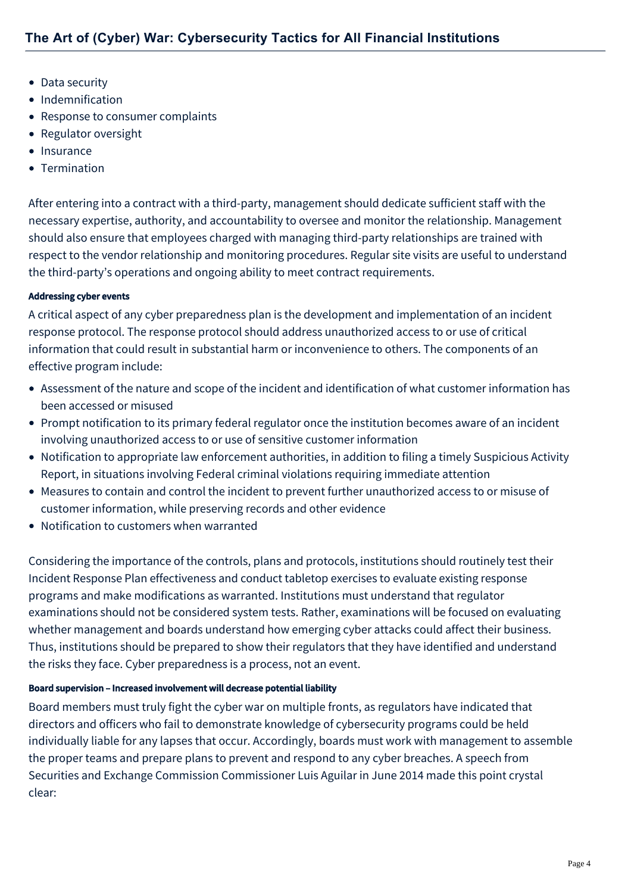- Data security
- Indemnification
- Response to consumer complaints
- Regulator oversight
- Insurance
- Termination

After entering into a contract with a third-party, management should dedicate sufficient staff with the necessary expertise, authority, and accountability to oversee and monitor the relationship. Management should also ensure that employees charged with managing third-party relationships are trained with respect to the vendor relationship and monitoring procedures. Regular site visits are useful to understand the third-party's operations and ongoing ability to meet contract requirements.

## Addressing cyber events

A critical aspect of any cyber preparedness plan is the development and implementation of an incident response protocol. The response protocol should address unauthorized access to or use of critical information that could result in substantial harm or inconvenience to others. The components of an effective program include:

- Assessment of the nature and scope of the incident and identification of what customer information has been accessed or misused
- Prompt notification to its primary federal regulator once the institution becomes aware of an incident involving unauthorized access to or use of sensitive customer information
- Notification to appropriate law enforcement authorities, in addition to filing a timely Suspicious Activity Report, in situations involving Federal criminal violations requiring immediate attention
- Measures to contain and control the incident to prevent further unauthorized access to or misuse of customer information, while preserving records and other evidence
- Notification to customers when warranted

Considering the importance of the controls, plans and protocols, institutions should routinely test their Incident Response Plan effectiveness and conduct tabletop exercises to evaluate existing response programs and make modifications as warranted. Institutions must understand that regulator examinations should not be considered system tests. Rather, examinations will be focused on evaluating whether management and boards understand how emerging cyber attacks could affect their business. Thus, institutions should be prepared to show their regulators that they have identified and understand the risks they face. Cyber preparedness is a process, not an event.

#### Board supervision – Increased involvement will decrease potential liability

Board members must truly fight the cyber war on multiple fronts, as regulators have indicated that directors and officers who fail to demonstrate knowledge of cybersecurity programs could be held individually liable for any lapses that occur. Accordingly, boards must work with management to assemble the proper teams and prepare plans to prevent and respond to any cyber breaches. A speech from Securities and Exchange Commission Commissioner Luis Aguilar in June 2014 made this point crystal clear: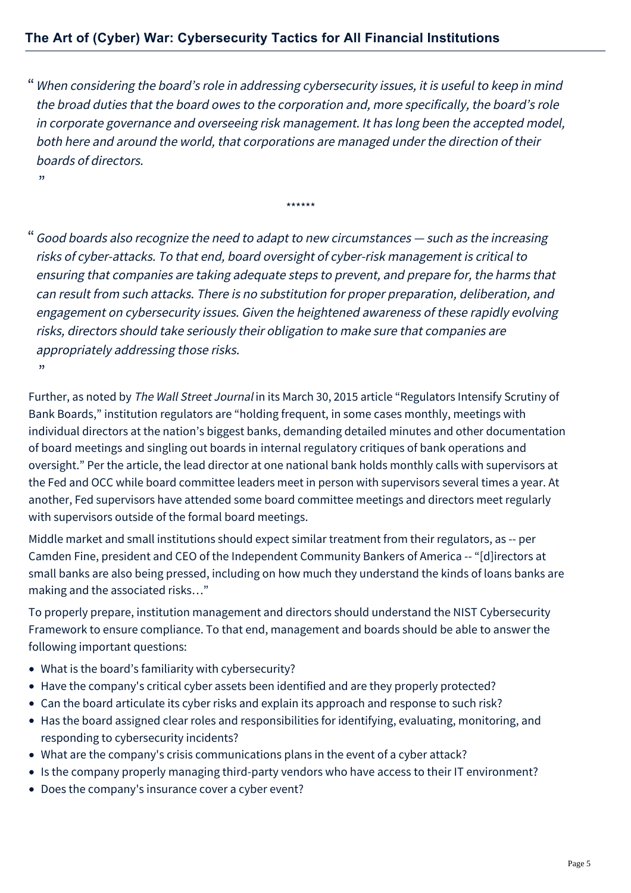When considering the board's role in addressing cybersecurity issues, it is useful to keep in mind " the broad duties that the board owes to the corporation and, more specifically, the board's role in corporate governance and overseeing risk management. It has long been the accepted model, both here and around the world, that corporations are managed under the direction of their boards of directors.

\*\*\*\*\*\*

Good boards also recognize the need to adapt to new circumstances — such as the increasing " risks of cyber-attacks. To that end, board oversight of cyber-risk management is critical to ensuring that companies are taking adequate steps to prevent, and prepare for, the harms that can result from such attacks. There is no substitution for proper preparation, deliberation, and engagement on cybersecurity issues. Given the heightened awareness of these rapidly evolving risks, directors should take seriously their obligation to make sure that companies are appropriately addressing those risks. "

Further, as noted by The Wall Street Journal in its March 30, 2015 article "Regulators Intensify Scrutiny of Bank Boards," institution regulators are "holding frequent, in some cases monthly, meetings with individual directors at the nation's biggest banks, demanding detailed minutes and other documentation of board meetings and singling out boards in internal regulatory critiques of bank operations and oversight." Per the article, the lead director at one national bank holds monthly calls with supervisors at the Fed and OCC while board committee leaders meet in person with supervisors several times a year. At another, Fed supervisors have attended some board committee meetings and directors meet regularly with supervisors outside of the formal board meetings.

Middle market and small institutions should expect similar treatment from their regulators, as -- per Camden Fine, president and CEO of the Independent Community Bankers of America -- "[d]irectors at small banks are also being pressed, including on how much they understand the kinds of loans banks are making and the associated risks…"

To properly prepare, institution management and directors should understand the NIST Cybersecurity Framework to ensure compliance. To that end, management and boards should be able to answer the following important questions:

What is the board's familiarity with cybersecurity?

"

- Have the company's critical cyber assets been identified and are they properly protected?
- Can the board articulate its cyber risks and explain its approach and response to such risk?
- Has the board assigned clear roles and responsibilities for identifying, evaluating, monitoring, and responding to cybersecurity incidents?
- What are the company's crisis communications plans in the event of a cyber attack?
- Is the company properly managing third-party vendors who have access to their IT environment?
- Does the company's insurance cover a cyber event?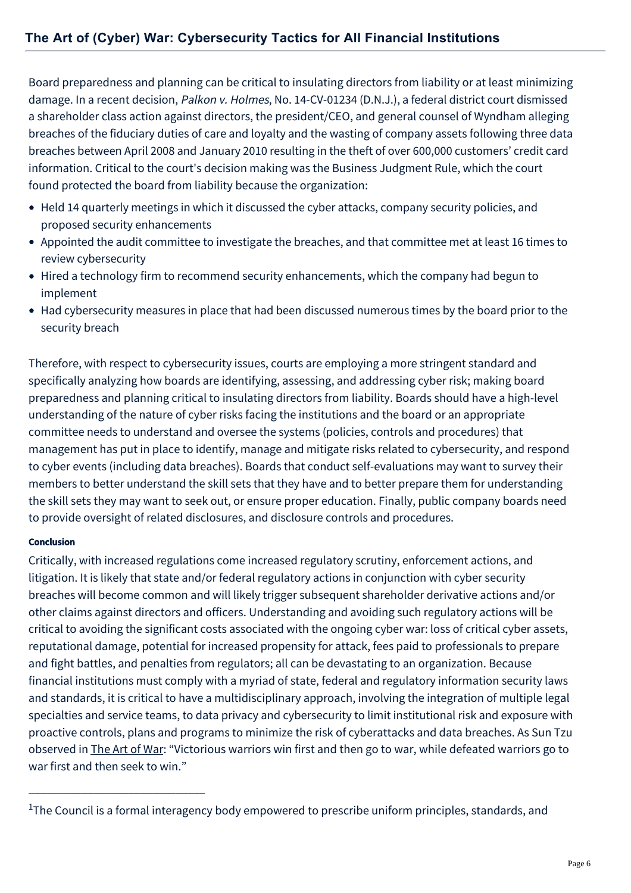Board preparedness and planning can be critical to insulating directors from liability or at least minimizing damage. In a recent decision, Palkon v. Holmes, No. 14-CV-01234 (D.N.J.), a federal district court dismissed a shareholder class action against directors, the president/CEO, and general counsel of Wyndham alleging breaches of the fiduciary duties of care and loyalty and the wasting of company assets following three data breaches between April 2008 and January 2010 resulting in the theft of over 600,000 customers' credit card information. Critical to the court's decision making was the Business Judgment Rule, which the court found protected the board from liability because the organization:

- Held 14 quarterly meetings in which it discussed the cyber attacks, company security policies, and proposed security enhancements
- Appointed the audit committee to investigate the breaches, and that committee met at least 16 times to review cybersecurity
- Hired a technology firm to recommend security enhancements, which the company had begun to implement
- Had cybersecurity measures in place that had been discussed numerous times by the board prior to the security breach

Therefore, with respect to cybersecurity issues, courts are employing a more stringent standard and specifically analyzing how boards are identifying, assessing, and addressing cyber risk; making board preparedness and planning critical to insulating directors from liability. Boards should have a high-level understanding of the nature of cyber risks facing the institutions and the board or an appropriate committee needs to understand and oversee the systems (policies, controls and procedures) that management has put in place to identify, manage and mitigate risks related to cybersecurity, and respond to cyber events (including data breaches). Boards that conduct self-evaluations may want to survey their members to better understand the skill sets that they have and to better prepare them for understanding the skill sets they may want to seek out, or ensure proper education. Finally, public company boards need to provide oversight of related disclosures, and disclosure controls and procedures.

## Conclusion

\_\_\_\_\_\_\_\_\_\_\_\_\_\_\_\_\_\_\_\_\_\_\_\_\_\_\_\_\_\_

Critically, with increased regulations come increased regulatory scrutiny, enforcement actions, and litigation. It is likely that state and/or federal regulatory actions in conjunction with cyber security breaches will become common and will likely trigger subsequent shareholder derivative actions and/or other claims against directors and officers. Understanding and avoiding such regulatory actions will be critical to avoiding the significant costs associated with the ongoing cyber war: loss of critical cyber assets, reputational damage, potential for increased propensity for attack, fees paid to professionals to prepare and fight battles, and penalties from regulators; all can be devastating to an organization. Because financial institutions must comply with a myriad of state, federal and regulatory information security laws and standards, it is critical to have a multidisciplinary approach, involving the integration of multiple legal specialties and service teams, to data privacy and cybersecurity to limit institutional risk and exposure with proactive controls, plans and programs to minimize the risk of cyberattacks and data breaches. As Sun Tzu observed in The Art of War: "Victorious warriors win first and then go to war, while defeated warriors go to war first and then seek to win."

<sup>&</sup>lt;sup>1</sup>The Council is a formal interagency body empowered to prescribe uniform principles, standards, and